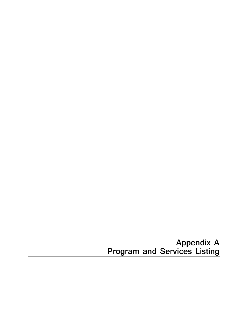**Appendix A Program and Services Listing**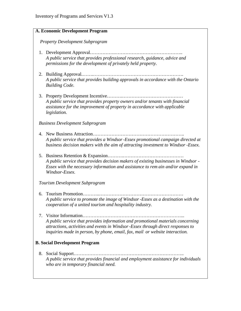|    | A. Economic Development Program                                                                                                                                                                                                                    |
|----|----------------------------------------------------------------------------------------------------------------------------------------------------------------------------------------------------------------------------------------------------|
|    | <b>Property Development Subprogram</b>                                                                                                                                                                                                             |
|    | A public service that provides professional research, guidance, advice and<br>permissions for the development of privately held property.                                                                                                          |
|    | A public service that provides building approvals in accordance with the Ontario<br><b>Building Code.</b>                                                                                                                                          |
|    | A public service that provides property owners and/or tenants with financial<br>assistance for the improvement of property in accordance with applicable<br><i>legislation.</i>                                                                    |
|    | <b>Business Development Subprogram</b>                                                                                                                                                                                                             |
|    | A public service that provides a Windsor-Essex promotional campaign directed at<br>business decision makers with the aim of attracting investment to Windsor -Essex.                                                                               |
|    | A public service that provides decision makers of existing businesses in Windsor -<br>Essex with the necessary information and assistance to rem ain and/or expand in<br>Windsor-Essex.                                                            |
|    | Tourism Development Subprogram                                                                                                                                                                                                                     |
| 6. | A public service to promote the image of Windsor -Essex as a destination with the<br>cooperation of a united tourism and hospitality industry.                                                                                                     |
| 7. | A public service that provides information and promotional materials concerning<br>attractions, activities and events in Windsor-Essex through direct responses to<br>inquiries made in person, by phone, email, fax, mail or website interaction. |
|    | <b>B. Social Development Program</b>                                                                                                                                                                                                               |
|    | A public service that provides financial and employment assistance for individuals<br>who are in temporary financial need.                                                                                                                         |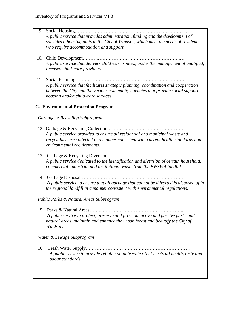- 9. Social Housing……….……………………………………… …………….. *A public service that provides administration, funding and the development of subsidized housing units in the City of Windsor, which meet the needs of residents who require accommodation and support.*
- 10. Child Development……….…………………………………………… .…. *A public service that delivers child -care spaces, under the management of qualified, licensed child-care providers.*
- 11. Social Planning……………………………………………………………. *A public service that facilitates strategic planning, coordination and cooperation between the City and the various community agencies that provide social support, housing and/or child-care services.*

## **C. Environmental Protection Program**

*Garbage & Recycling Subprogram*

- 12. Garbage & Recycling Collection………….………………………………. *A public service provided to ensure all residential and municipal waste and recyclables are collected in a manner consistent with current health standards and environmental requirements.*
- 13. Garbage & Recycling Diversion………..………………………………... *A public service dedicated to the identification and diversion of certain household, commercial, industrial and institutional waste from the EWSWA landfill.*
- 14. Garbage Disposal………………………………………………………….  *A public service to ensure that all garbage that cannot be d iverted is disposed of in the regional landfill in a manner consistent with environmental regulations.*

*Public Parks & Natural Areas Subprogram*

 15. Parks & Natural Areas……..……………………………………………..  *A pubic service to protect, preserve and pro mote active and passive parks and natural areas, maintain and enhance the urban forest and beautify the City of Windsor.*

*Water & Sewage Subprogram*

 16. Fresh Water Supply…………………………………………………………. *A public service to provide reliable potable wate r that meets all health, taste and odour standards.*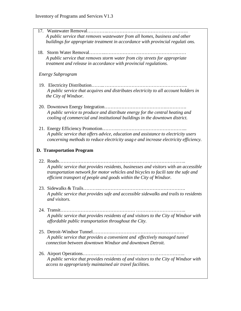| 17. Wastewater Removal<br>A public service that removes wastewater from all homes, business and other<br>buildings for appropriate treatment in accordance with provincial regulati ons.                                                          |
|---------------------------------------------------------------------------------------------------------------------------------------------------------------------------------------------------------------------------------------------------|
| A public service that removes storm water from city streets for appropriate<br>treatment and release in accordance with provincial regulations.                                                                                                   |
| <b>Energy Subprogram</b>                                                                                                                                                                                                                          |
| A public service that acquires and distributes electricity to all account holders in<br>the City of Windsor.                                                                                                                                      |
| A public service to produce and distribute energy for the central heating and<br>cooling of commercial and institutional buildings in the downtown district.                                                                                      |
| A public service that offers advice, education and assistance to electricity users<br>concerning methods to reduce electricity usag e and increase electricity efficiency.                                                                        |
| <b>D. Transportation Program</b>                                                                                                                                                                                                                  |
| A public service that provides residents, businesses and visitors with an accessible<br>transportation network for motor vehicles and bicycles to facili tate the safe and<br>efficient transport of people and goods within the City of Windsor. |
| A public service that provides safe and accessible sidewalks and trails to residents<br>and visitors.                                                                                                                                             |
| A public service that provides residents of and visitors to the City of Windsor with<br>affordable public transportation throughout the City.                                                                                                     |
| A public service that provides a convenient and effectively managed tunnel<br>connection between downtown Windsor and downtown Detroit.                                                                                                           |
| A public service that provides residents of and visitors to the City of Windsor with<br>access to appropriately maintained air travel facilities.                                                                                                 |
|                                                                                                                                                                                                                                                   |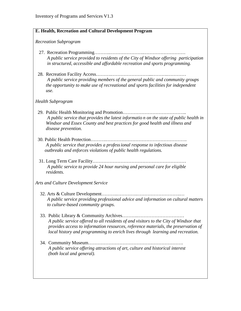### **E. Health, Recreation and Cultural Development Program**

### *Recreation Subprogram*

- 27. Recreation Programming……….………………….………………………  *A public service provided to residents of the City of Windsor offering participation in structured, accessible and affordable recreation and sports programming.*
- 28. Recreation Facility Access……….……………………...……….………… *A public service providing members of the general public and community groups the opportunity to make use of recreational and sports facilities for independent use.*

### *Health Subprogram*

- 29. Public Health Monitoring and Promotion………………………………….. *A public service that provides the latest informatio n on the state of public health in Windsor and Essex County and best practices for good health and illness and disease prevention.*
- 30. Public Health Protection……….……………………………………………. *A public service that provides a professional response to infectious disease outbreaks and enforces violations of public health regulations.*
- 31. Long Term Care Facility…………………………………………………… *A public service to provide 24 hour nursing and personal care for eligible residents.*

### *Arts and Culture Development Service*

- 32. Arts & Culture Development……….………….……………………….… *A public service providing professional advice and information on cultural matters to culture-based community groups.*
- 33. Public Library & Community Archives……….………………………… *A public service offered to all residents of and visitors to the City of Windsor that provides access to information resources, reference materials, the preservation of local history and programming to enrich lives through learning and recreation.*
- 34. Community Museum……………………………………………………. *A public service offering attractions of art, culture and historical interest (both local and general).*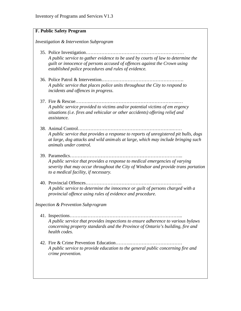## **F. Public Safety Program**

*Investigation & Intervention Subprogram*

- 35. Police Investigation……………………………………………………… *A public service to gather evidence to be used by courts of law to determine the guilt or innocence of persons accused of offences against the Crown using established police procedures and rules of evidence.*
- 36. Police Patrol & Intervention……….……………………………………. *A public service that places police units throughout the City to respond to incidents and offences in progress.*
- 37. Fire & Rescue……….………………………………………………...… *A public service provided to victims and/or potential victims of em ergency situations (i.e. fires and vehicular or other accidents) offering relief and assistance.*
- 38. Animal Control…………………………………………………….…… *A public service that provides a response to reports of unregistered pit bulls, dogs at large, dog attacks and wild animals at large, which may include bringing such animals under control.*
- 39. Paramedics……….……………………………………………………... *A public service that provides a response to medical emergencies of varying severity that may occur throughout the City of Windsor and provide trans portation to a medical facility, if necessary.*
- 40. Provincial Offences…………………………………………………….. *A public service to determine the innocence or guilt of persons charged with a provincial offence using rules of evidence and procedure.*

*Inspection & Prevention Subprogram*

- 41. Inspections………..…………………………………………………….. *A public service that provides inspections to ensure adherence to various bylaws concerning property standards and the Province of Ontario's building, fire and health codes.*
- 42. Fire & Crime Prevention Education……….…………………………… *A public service to provide education to the general public concerning fire and crime prevention.*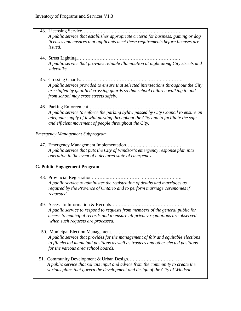| A public service that establishes appropriate criteria for business, gaming or dog<br>licenses and ensures that applicants meet these requirements before licenses are<br>issued.                                                            |
|----------------------------------------------------------------------------------------------------------------------------------------------------------------------------------------------------------------------------------------------|
| A public service that provides reliable illumination at night along City streets and<br>sidewalks.                                                                                                                                           |
| A public service provided to ensure that selected intersections throughout the City<br>are staffed by qualified crossing guards so that school children walking to and<br>from school may cross streets safely.                              |
| A public service to enforce the parking bylaw passed by City Council to ensure an<br>adequate supply of lawful parking throughout the City and to facilitate the safe<br>and efficient movement of people throughout the City.               |
| <b>Emergency Management Subprogram</b>                                                                                                                                                                                                       |
| A public service that puts the City of Windsor's emergency response plan into<br>operation in the event of a declared state of emergency.                                                                                                    |
| <b>G. Public Engagement Program</b>                                                                                                                                                                                                          |
| A public service to administer the registration of deaths and marriages as<br>required by the Province of Ontario and to perform marriage ceremonies if<br>requested.                                                                        |
| 49. Access to Information & Records<br>A public service to respond to requests from members of the general public for<br>access to municipal records and to ensure all privacy regulations are observed<br>when such requests are processed. |
| A public service that provides for the management of fair and equitable elections<br>to fill elected municipal positions as well as trustees and other elected positions<br>for the various area school boards.                              |
| 51. Community Development & Urban Design<br>A public service that solicits input and advice from the community to create the<br>various plans that govern the development and design of the City of Windsor.                                 |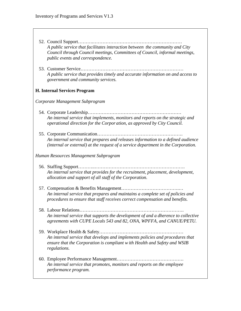- 52. Council Support……….………………………………………………… *A public service that facilitates interaction between the community and City Council through Council meetings, Committees of Council, informal meetings, public events and correspondence.*
- 53. Customer Service………………………………………………………… *A public service that provides timely and accurate information on and access to government and community services.*

### **H. Internal Services Program**

*Corporate Management Subprogram*

- 54. Corporate Leadership…………………………………………………… *An internal service that implements, monitors and reports on the strategic and operational direction for the Corpor ation, as approved by City Council.*
- 55. Corporate Communication………………………………………………. *An internal service that prepares and releases information to a defined audience (internal or external) at the request of a service department in the Corporation.*

*Human Resources Management Subprogram*

- 56. Staffing Support………..…………………………………………………. *An internal service that provides for the recruitment, placement, development, allocation and support of all staff of the Corporation.*
- 57. Compensation & Benefits Management……………………………….… *An internal service that prepares and maintains a complete set of policies and procedures to ensure that staff receives correct compensation and benefits.*
- 58. Labour Relations…………………………………………………………. *An internal service that supports the development of and a dherence to collective agreements with CUPE Locals 543 and 82, ONA, WPFFA, and CANUE/PETU.*
- 59. Workplace Health & Safety……………………………………………… *An internal service that develops and implements policies and procedures that ensure that the Corporation is compliant w ith Health and Safety and WSIB regulations.*
- 60. Employee Performance Management……………………………………. *An internal service that promotes, monitors and reports on the employee performance program.*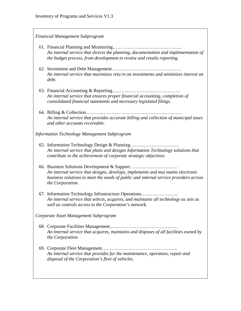### *Financial Management Subprogram*

- 61. Financial Planning and Monitoring…………………………………….. *An internal service that directs the planning, documentation and implementation of the budget process, from development to review and results reporting.*
- *62.* Investment and Debt Management……….……………………….……. *An internal service that maximizes retu rn on investments and minimizes interest on debt.*
- 63. Financial Accounting & Reporting……….…………….……………… *An internal service that ensures proper financial accounting, completion of consolidated financial statements and necessary legislated filings.*
- 64. Billing & Collection………..…………………………………………… *An internal service that provides accurate billing and collection of municipal taxes and other accounts receivable.*

*Information Technology Management Subprogram*

- 65. Information Technology Design & Planning……….……………….… *An internal service that plans and designs Information Technology solutions that contribute to the achievement of corporate strategic objectives.*
- 66. Business Solutions Development & Support……….………………… *An internal service that designs, develops, implements and mai ntains electronic business solutions to meet the needs of public and internal service providers across the Corporation.*
- 67. Information Technology Infrastructure Operations……….………….. *An internal service that selects, acquires, and maintains all technology as sets as well as controls access to the Corporation's network.*

*Corporate Asset Management Subprogram*

- 68. Corporate Facilities Management………………………………….…. *An internal service that acquires, maintains and disposes of all facilities owned by the Corporation.*
- 69. Corporate Fleet Management………..……………………………….. *An internal service that provides for the maintenance, operation, repair and disposal of the Corporation's fleet of vehicles.*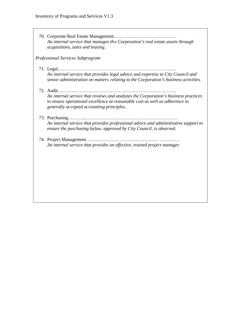70. Corporate Real Estate Management……….………………………… *An internal service that manages th e Corporation's real estate assets through acquisitions, sales and leasing.*

*Professional Services Subprogram*

- 71. Legal……………………………………………………………….… *An internal service that provides legal advice and expertise to City Council and senior administration on matters relating to the Corporation's business activities.*
- 72. Audit…………………………………………………….…………… *An internal service that reviews and analyzes the Corporation's business practices to ensure operational excellence at reasonable cost as well as adherence to generally accepted accounting principles.*
- 73. Purchasing………..…………………………………………………… *An internal service that provides professional advice and administrative support to ensure the purchasing bylaw, approved by City Council, is observed.*
- 74. Project Management………..……………………………… …………. *An internal service that provides an effective, trained project manager.*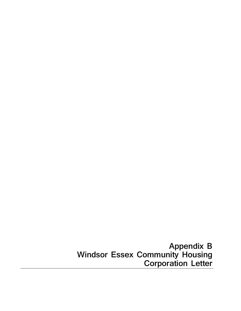**Appendix B Windsor Essex Community Housing Corporation Letter**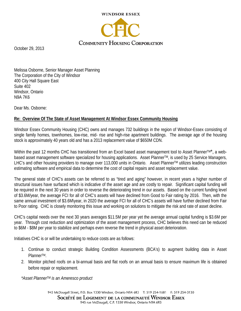

October 29, 2013

Melissa Osborne, Senior Manager Asset Planning The Corporation of the City of Windsor 400 City Hall Square East Suite 402 Windsor, Ontario N9A 7K6

Dear Ms. Osborne:

## **Re: Overview Of The State of Asset Management At Windsor Essex Community Housing**

Windsor Essex Community Housing (CHC) owns and manages 732 buildings in the region of Windsor-Essex consisting of single family homes, townhomes, low-rise, mid- rise and high-rise apartment buildings. The average age of the housing stock is approximately 40 years old and has a 2013 replacement value of \$650M CDN.

Within the past 12 months CHC has transitioned from an Excel based asset management tool to Asset Planner™\*, a webbased asset management software specialized for housing applications. Asset Planner™, is used by 25 Service Managers, LHC's and other housing providers to manage over 113,000 units in Ontario. Asset Planner™ utilizes leading construction estimating software and empirical data to determine the cost of capital repairs and asset replacement value.

The general state of CHC's assets can be referred to as "tired and aging" however, in recent years a higher number of structural issues have surfaced which is indicative of the asset age and are costly to repair. Significant capital funding will be required in the next 30 years in order to reverse the deteriorating trend in our assets. Based on the current funding level of \$3.6M/year, the average FCI for all of CHC's assets will have declined from Good to Fair rating by 2016. Then, with the same annual investment of \$3.6M\year, in 2020 the average FCI for all of CHC's assets will have further declined from Fair to Poor rating. CHC is closely monitoring this issue and working on solutions to mitigate the risk and rate of asset decline.

CHC's capital needs over the next 30 years averages \$11.5M per year yet the average annual capital funding is \$3.6M per year. Through cost reduction and optimization of the asset management process, CHC believes this need can be reduced to \$6M - \$8M per year to stabilize and perhaps even reverse the trend in physical asset deterioration.

Initiatives CHC is or will be undertaking to reduce costs are as follows:

- 1. Continue to conduct strategic Building Condition Assessments (BCA's) to augment building data in Asset PlannerTM.
- 2. Monitor pitched roofs on a bi-annual basis and flat roofs on an annual basis to ensure maximum life is obtained before repair or replacement.

*\*Asset PlannerTM is an Ameresco product*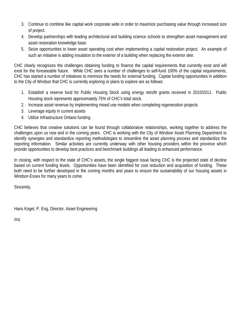- 3. Continue to combine like capital work corporate wide in order to maximize purchasing value through increased size of project.
- 4. Develop partnerships with leading architectural and building science schools to strengthen asset management and asset restoration knowledge base.
- 5. Seize opportunities to lower asset operating cost when implementing a capital restoration project. An example of such an initiative is adding insulation to the exterior of a building when replacing the exterior skin.

CHC clearly recognizes the challenges obtaining funding to finance the capital requirements that currently exist and will exist for the foreseeable future. While CHC sees a number of challenges to self-fund 100% of the capital requirements, CHC has started a number of initiatives to minimize the needs for external funding. Capital funding opportunities in addition to the City of Windsor that CHC is currently exploring or plans to explore are as follows:

- 1. Establish a reserve fund for Public Housing Stock using energy retrofit grants received in 2010/2011. Public Housing stock represents approximately 75% of CHC's total stock.
- 2. Increase asset revenue by implementing mixed use models when completing regeneration projects
- 3. Leverage equity in current assets
- 4. Utilize Infrastructure Ontario funding

CHC believes that creative solutions can be found through collaborative relationships, working together to address the challenges upon us now and in the coming years. CHC is working with the City of Windsor Asset Planning Department to identify synergies and standardize reporting methodologies to streamline the asset planning process and standardize the reporting information. Similar activities are currently underway with other housing providers within the province which provide opportunities to develop best practices and benchmark buildings all leading to enhanced performance.

In closing, with respect to the state of CHC's assets, the single biggest issue facing CHC is the projected state of decline based on current funding levels. Opportunities have been identified for cost reduction and acquisition of funding. These both need to be further developed in the coming months and years to ensure the sustainability of our housing assets in Windsor-Essex for many years to come.

Sincerely,

Hans Kogel, P. Eng, Director, Asset Engineering

/mz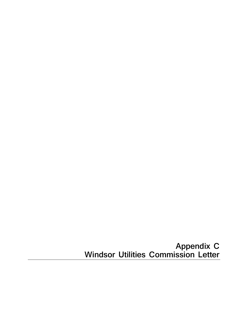# **Appendix C Windsor Utilities Commission Letter**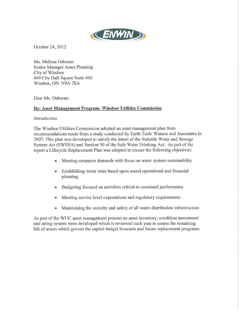

October 24, 2012

Ms. Melissa Osborne Senior Manager Asset Planning City of Windsor 400 City Hall Square Suite 402 Windsor, ON N9A 7K6

Dear Ms. Osborne:

### Re: Asset Management Program-Windsor Utilities Commission

### **Introduction**

The Windsor Utilities Commission adopted an asset management plan from recommendations made from a study conducted by Earth Tech/Watson and Associates in 2007. This plan was developed to satisfy the intent of the Suitable Water and Sewage System Act (SWSSA) and Section 30 of the Safe Water Drinking Act. As part of the report a Lifecycle Replacement Plan was adopted to ensure the following objectives:

- Meeting ratepayer demands with focus on water system sustainability
- Establishing water rates based upon sound operational and financial planning
- Budgeting focused on activities critical to sustained performance  $\bullet$
- Meeting service level expectations and regulatory requirements
- Maintaining the security and safety of all water distribution infrastructure  $\bullet$

As part of the WUC asset management process an asset inventory, condition assessment and rating system were developed which is reviewed each year to assess the remaining life of assets which govern the capital budget forecasts and future replacement programs.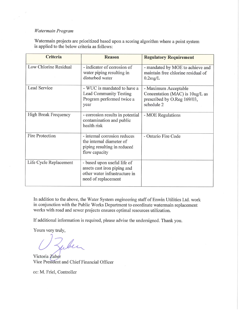### Watermain Program

 $\sim$ 

Watermain projects are prioritized based upon a scoring algorithm where a point system is applied to the below criteria as follows:

| <b>Criteria</b>             | <b>Reason</b>                                                                                                      | <b>Regulatory Requirement</b>                                                                        |
|-----------------------------|--------------------------------------------------------------------------------------------------------------------|------------------------------------------------------------------------------------------------------|
| Low Chlorine Residual       | - indicator of corrosion of<br>water piping resulting in<br>disturbed water                                        | - mandated by MOE to achieve and<br>maintain free chlorine residual of<br>0.2mg/L                    |
| Lead Service                | - WUC is mandated to have a<br>Lead Community Testing<br>Program performed twice a<br>year                         | - Maximum Acceptable<br>Concentation (MAC) is 10ug/L as<br>prescribed by O.Reg 169/03,<br>schedule 2 |
| <b>High Break Frequency</b> | - corrosion results in potential<br>contamination and public<br>health risk                                        | - MOE Regulations                                                                                    |
| <b>Fire Protection</b>      | - internal corrosion reduces<br>the internal diameter of<br>piping resulting in reduced<br>flow capacity           | - Ontario Fire Code                                                                                  |
| Life Cycle Replacement      | - based upon useful life of<br>assets cast iron piping and<br>other water infrastructure in<br>need of replacement |                                                                                                      |

In addition to the above, the Water System engineering staff of Enwin Utilities Ltd. work in conjunction with the Public Works Department to coordinate watermain replacement works with road and sewer projects ensures optimal resources utilization.

If additional information is required, please advise the undersigned. Thank you.

Yours very truly,

Jubec

Victoria Zuber Vice President and Chief Financial Officer

cc: M. Friel, Controller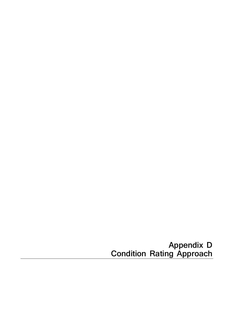**Appendix D Condition Rating Approach**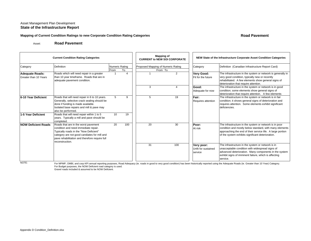### Mapping of Current Condition Ratings to new Corporate Condition Rating Categories **Road Pavement** Road Pavement

Asset:**Road Pavement**

| <b>Current Condition Rating Categories</b>      |                                                                                                                                                                                                                                             |                               |                        |  | <b>Mapping of</b><br><b>CURRENT to NEW SOI CORPORATE</b> |     |                                              | NEW State of the Infrastructure Corporate Asset Condition Categories                                                                                                                                                                 |
|-------------------------------------------------|---------------------------------------------------------------------------------------------------------------------------------------------------------------------------------------------------------------------------------------------|-------------------------------|------------------------|--|----------------------------------------------------------|-----|----------------------------------------------|--------------------------------------------------------------------------------------------------------------------------------------------------------------------------------------------------------------------------------------|
| Category                                        | Definition                                                                                                                                                                                                                                  | <b>Numeric Rating</b><br>From | To                     |  | Proposed Mapping of Numeric Rating<br>From To            |     | Category                                     | Definition (Canadian Infrastructure Report Card)                                                                                                                                                                                     |
| <b>Adequate Roads:</b><br>Greater than 10 Years | Roads which will need repair in a greater<br>than 10 year timeframe. Roads that are in<br>adequate pavement condition.                                                                                                                      |                               | $\boldsymbol{\Lambda}$ |  |                                                          | 2   | <b>Very Good:</b><br>Fit for the future      | The infrastructure in the system or network is generally in<br>very good condition, typically new or recently<br>rehabilitated. A few elements show general signs of<br>deterioration that require attention.                        |
|                                                 |                                                                                                                                                                                                                                             |                               |                        |  | 3                                                        | Δ   | Good:<br>Adequate for now                    | The infrastructure in the system or network is in good<br>condition; some elements show general signs of<br>deterioration that require attention. A few elements                                                                     |
| 6-10 Year Deficient                             | Roads that will need repair in 6 to 10 years.<br>Generally, selective crack sealing should be<br>done if funding is made available.<br>Isolated base repairs and mill & pave may<br>also be performed.                                      | 5                             | 9                      |  | 5                                                        | 19  | Fair:<br>Requires attention                  | The infrastructure in the system or network is in fair<br>condition; it shows general signs of deterioration and<br>requires attention. Some elements exhibit significant<br>deficiencies.                                           |
| 1-5 Year Deficient                              | Roads that will need repair within 1 to 5<br>years. Typically a mill and pave should be<br>completed.                                                                                                                                       | 10                            | 19                     |  |                                                          |     |                                              |                                                                                                                                                                                                                                      |
| <b>NOW Deficient Roads</b>                      | Roads that are in the worst pavement<br>condition and need immediate repair.<br>Typically roads in the "Now Deficient"<br>category are not good candiates for mill and<br>pave rehabilitation and therefore require full<br>reconstruction. | 20                            | 100                    |  | 20                                                       | 30  | Poor:<br>At risk                             | The infrastructure in the system or network is in poor<br>condition and mostly below standard, with many elements<br>approaching the end of their service life. A large portion<br>of the system exhibits significant deterioration. |
|                                                 |                                                                                                                                                                                                                                             |                               |                        |  | 31                                                       | 100 | Very poor:<br>Unfit for sustained<br>service | The infrastructure in the system or network is in<br>unacceptable condition with widespread signs of<br>advanced deterioration. Many components in the system<br>exhibit signs of imminent failure, which is affecting<br>service.   |

NOTE:

For MPMP, OMBI, and corp KPI annual reporting purposes, Road Adequacy (ie. roads in good to very good condition) has been historically reported using the Adequate Roads (ie. Greater than 10 Year) Category. For Budget purposes, the NOW Deficient road category is used.

Gravel roads included & assumed to be NOW Deficient.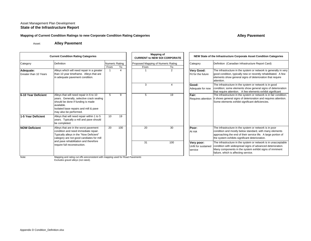### Mapping of Current Condition Ratings to new Corporate Condition Rating Categories **Alley Pavement** Alley Pavement

Asset:**Alley Pavement**

|                                    | <b>Current Condition Rating Categories</b>                                                                                                                                                                 |                               |           | <b>Mapping of</b><br><b>CURRENT to NEW SOI CORPORATE</b> |                        | NEW State of the Infrastructure Corporate Asset Condition Categories |                                                                                                                                                                                                                                      |  |  |
|------------------------------------|------------------------------------------------------------------------------------------------------------------------------------------------------------------------------------------------------------|-------------------------------|-----------|----------------------------------------------------------|------------------------|----------------------------------------------------------------------|--------------------------------------------------------------------------------------------------------------------------------------------------------------------------------------------------------------------------------------|--|--|
| Category                           | <b>Definition</b>                                                                                                                                                                                          | <b>Numeric Rating</b><br>From | To        | Proposed Mapping of Numeric Rating<br>From               | To                     | Category                                                             | Definition (Canadian Infrastructure Report Card)                                                                                                                                                                                     |  |  |
| Adequate:<br>Greater than 10 Years | Alleys which will need repair in a greater<br>than 10 year timeframe. Alleys that are<br>in adequate pavement condition.                                                                                   |                               | $\lambda$ |                                                          | $\overline{2}$         | Very Good:<br>Fit for the future                                     | The infrastructure in the system or network is generally in very<br>good condition, typically new or recently rehabilitated. A few<br>elements show general signs of deterioration that require<br>attention.                        |  |  |
|                                    |                                                                                                                                                                                                            |                               |           | 3                                                        | $\boldsymbol{\Lambda}$ | Good:<br>Adequate for now                                            | The infrastructure in the system or network is in good<br>condition; some elements show general signs of deterioration<br>that require attention. A few elements exhibit significant                                                 |  |  |
| 6-10 Year Deficient                | Alleys that will need repair in 6 to 10<br>years. Generally, selective crack sealing<br>should be done if funding is made<br>available.<br>Isolated base repairs and mill & pave<br>may also be performed. | 5                             | 9         | 5                                                        | 19                     | Fair:<br>Requires attention                                          | The infrastructure in the system or network is in fair condition;<br>it shows general signs of deterioration and requires attention.<br>Some elements exhibit significant deficiencies.                                              |  |  |
| 1-5 Year Deficient                 | Alleys that will need repair within 1 to 5<br>years. Typically a mill and pave should<br>be completed.                                                                                                     | 10                            | 19        |                                                          |                        |                                                                      |                                                                                                                                                                                                                                      |  |  |
| <b>NOW Deficient</b>               | Alleys that are in the worst pavement<br>condition and need immediate repair.<br>Typically alleys in the "Now Deficient"<br>category are not good candiates for mill                                       | 20                            | 100       | 20                                                       | 30                     | Poor:<br>At risk                                                     | The infrastructure in the system or network is in poor<br>condition and mostly below standard, with many elements<br>approaching the end of their service life. A large portion of<br>the system exhibits significant deterioration. |  |  |
|                                    | and pave rehabilitation and therefore<br>require full reconstruction.                                                                                                                                      |                               |           | 31                                                       | 100                    | Very poor:<br>Jnfit for sustained<br>service                         | The infrastructure in the system or network is in unacceptable<br>condition with widespread signs of advanced deterioration.<br>Many components in the system exhibit signs of imminent<br>failure, which is affecting service.      |  |  |
| Note:                              | Mapping and rating cut offs areconsistent with mapping used for Road Pavements                                                                                                                             |                               |           |                                                          |                        |                                                                      |                                                                                                                                                                                                                                      |  |  |

 Mapping and rating cut offs areconsistent with mapping used for Road Pavements Excludes gravel alleys (not rated).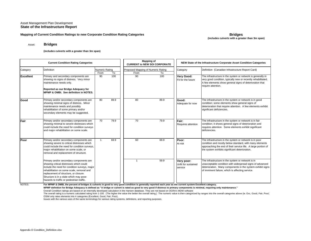#### **Mapping of Current Condition Ratings to new Corporate Condition Rating Categories Condition Rating Categories** Bridges

## **(includes culverts with a greater than 3m span)**

#### Asset:**Bridges**

#### **(includes culverts with a greater than 3m span)**

| <b>Current Condition Rating Categories</b> |                                                                                                                                                                                                                                                                                                                                                                                                                                                                                 |                        | <b>Mapping of</b><br><b>CURRENT to NEW SOI CORPORATE</b> |                                            | NEW State of the Infrastructure Corporate Asset Condition Categories |                                              |                                                                                                                                                                                                                                      |  |
|--------------------------------------------|---------------------------------------------------------------------------------------------------------------------------------------------------------------------------------------------------------------------------------------------------------------------------------------------------------------------------------------------------------------------------------------------------------------------------------------------------------------------------------|------------------------|----------------------------------------------------------|--------------------------------------------|----------------------------------------------------------------------|----------------------------------------------|--------------------------------------------------------------------------------------------------------------------------------------------------------------------------------------------------------------------------------------|--|
| Category                                   | <b>Definition</b>                                                                                                                                                                                                                                                                                                                                                                                                                                                               | Numeric Rating<br>From | To                                                       | Proposed Mapping of Numeric Rating<br>From | To                                                                   | Category                                     | Definition (Canadian Infrastructure Report Card)                                                                                                                                                                                     |  |
| <b>Excellent</b>                           | Primary and secondary components are<br>showing no signs of distress. Very minor<br>maintenance needs only.<br>Reported as our Bridge Adequacy for<br><b>MPMP &amp; OMBI.</b> See definition in NOTES.                                                                                                                                                                                                                                                                          | 90                     | 100                                                      | 90                                         | 100                                                                  | <b>Very Good:</b><br>Fit for the future      | The infrastructure in the system or network is generally in<br>very good condition, typically new or recently rehabilitated.<br>A few elements show general signs of deterioration that<br>require attention.                        |  |
| Good                                       | Primary and/or secondary components are<br>showing minimal signs of distress. Minor<br>maintenance needs and possibly<br>rehabilitation of some primary and/or<br>secondary elements may be suggested.                                                                                                                                                                                                                                                                          | 80                     | 89.9                                                     | 80                                         | 89.9                                                                 | Good:<br>Adequate for now                    | The infrastructure in the system or network is in good<br>condition; some elements show general signs of<br>deterioration that require attention. A few elements exhibit<br>significant deficiencies.                                |  |
| Fair                                       | Primary and/or secondary components are<br>showing minimal to severe distresses which<br>could include the need for condition surveys<br>and major rehabilitation on some scale.                                                                                                                                                                                                                                                                                                | 70                     | 79.9                                                     | 70                                         | 79.9                                                                 | Fair:<br><b>Requires attention</b>           | The infrastructure in the system or network is in fair<br>condition; it shows general signs of deterioration and<br>requires attention. Some elements exhibit significant<br>deficiencies.                                           |  |
| Poor                                       | Primary and/or secondary components are<br>showing severe to critical distresses which<br>could include the need for condition surveys,<br>major rehabilitation on some scale, or<br>removal and replacement of structure.                                                                                                                                                                                                                                                      | $\overline{1}$         | 69.9                                                     | 60                                         | 69.9                                                                 | Poor:<br>At risk                             | The infrastructure in the system or network is in poor<br>condition and mostly below standard, with many elements<br>approaching the end of their service life. A large portion of<br>the system exhibits significant deterioration. |  |
| NOTES:                                     | Primary and/or secondary components are<br>showing critical distresses which could<br>include the need for condition surveys, major<br>rehabilitation on some scale, removal and<br>replacement of structure, or closure.<br>Structure is in a state which may pose<br>hazards to traffic or pedestrian traffic.<br>For MPMP & OMBI, the percent of bridges & culverts in good to very good condition is generally reported each year as the current system Excellent category. |                        |                                                          |                                            | 59.9                                                                 | Very poor:<br>Unfit for sustained<br>service | The infrastructure in the system or network is in<br>unacceptable condition with widespread signs of advanced<br>deterioration. Many components in the system exhibit signs<br>of imminent failure, which is affecting service.      |  |

**For MPMP & OMBI, the percent of bridges & culverts in good to very good condition is generally reported each year as the current system Excellent category.**

**MPMP definition for Bridge Adequacy is defined as "A bridge or culvert is rated as good to very good if distress to primary components is minimal, requiring only maintenance."**

Overall Condition ratings are based on an internally developed calculation in the Hansen database. They are not based on OGRA's MDW software

The overall rating is a numeric calculated rating from 1-100. (The higher the value the better the overall rating.) The numeric value is then categorized by ranges into the overall categorizes above (ie. Exc, Good, Fair, P OSIM only rates elements into 4 categories (Excellent, Good, Fair, Poor).

Issues with the various uses of the same terminology for various rating systems, definitions, and reporting purposes.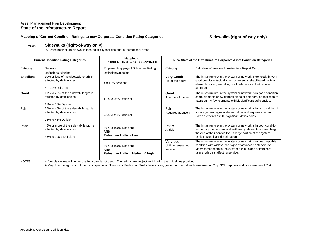### **Mapping of Current Condition Ratings to new Corporate Condition Rating Categories Sidewalks (right-of-way only)**

#### Asset:**Sidewalks (right-of-way only)**

ie. Does not include sidewalks located at city facilities and in recreational areas

| <b>Current Condition Rating Categories</b> |                                                                                                 | <b>Mapping of</b><br><b>CURRENT to NEW SOI CORPORATE</b>                  | NEW State of the Infrastructure Corporate Asset Condition Categories |                                                                                                                                                                                                                                      |  |  |
|--------------------------------------------|-------------------------------------------------------------------------------------------------|---------------------------------------------------------------------------|----------------------------------------------------------------------|--------------------------------------------------------------------------------------------------------------------------------------------------------------------------------------------------------------------------------------|--|--|
| Category                                   | <b>Definition</b><br>Definition/Guideline                                                       | Proposed Mapping of Subjective Rating<br>Definition/Guideline             | Category                                                             | Definition (Canadian Infrastructure Report Card)                                                                                                                                                                                     |  |  |
| <b>Excellent</b>                           | 10% or less of the sidewalk length is<br>affected by deficiencies<br>$\epsilon$ = 10% deficient | $\epsilon$ = 10% deficient                                                | Very Good:<br>Fit for the future                                     | The infrastructure in the system or network is generally in very<br>good condition, typically new or recently rehabilitated. A few<br>elements show general signs of deterioration that require<br>attention.                        |  |  |
| Good                                       | 11% to 25% of the sidewalk length is<br>affected by deficiencies<br>11% to 25% Deficient        | 11% to 25% Deficient                                                      | Good:<br>Adequate for now                                            | The infrastructure in the system or network is in good condition;<br>some elements show general signs of deterioration that require<br>attention. A few elements exhibit significant deficiencies.                                   |  |  |
| Fair                                       | 26% to 45% of the sidewalk length is<br>affected by deficiencies<br>26% to 45% Deficient        | 26% to 45% Deficient                                                      | Fair:<br>Requires attention                                          | The infrastructure in the system or network is in fair condition; it<br>shows general signs of deterioration and requires attention.<br>Some elements exhibit significant deficiencies.                                              |  |  |
| Poor                                       | 46% or more of the sidewalk length is<br>affected by deficiencies<br>46% to 100% Deficient      | 46% to 100% Deficient<br><b>AND</b><br><b>Pedestrian Traffic = Low</b>    | Poor:<br>At risk                                                     | The infrastructure in the system or network is in poor condition<br>and mostly below standard, with many elements approaching<br>the end of their service life. A large portion of the system<br>exhibits significant deterioration. |  |  |
|                                            |                                                                                                 | 46% to 100% Deficient<br><b>AND</b><br>Pedestrian Traffic = Medium & High | Very poor:<br>Unfit for sustained<br>service                         | The infrastructure in the system or network is in unacceptable<br>condition with widespread signs of advanced deterioration.<br>Many components in the system exhibit signs of imminent<br>failure, which is affecting service.      |  |  |

NOTES: A formula generated numeric rating scale is not used. The ratings are subjective following the guidelines provided.

A Very Poor category is not used in inspections. The use of Pedestrian Traffic levels is suggested for the further breakdown for Corp SOI purposes and is a measure of Risk.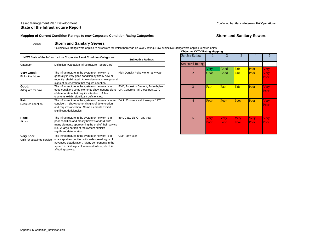### Asset Management Plan Development Confirmed by: **Mark Winteron - PW Operations State of the Infrastructure Report**

### Mapping of Current Condition Ratings to new Corporate Condition Rating Categories **Storm and Sanitary Sewers**

#### Asset:**Storm and Sanitary Sewers**

\* Subjective ratings were applied to all sewers for which there was no CCTV rating. How subjective ratings were applied is noted below **Objective CCTV Rating Mapping**

|                                           | NEW State of the Infrastructure Corporate Asset Condition Categories                                                                                                                                                                    | <b>Subjective Ratings</b>                                                | <b>Service Rating</b>    |              |
|-------------------------------------------|-----------------------------------------------------------------------------------------------------------------------------------------------------------------------------------------------------------------------------------------|--------------------------------------------------------------------------|--------------------------|--------------|
| Category                                  | Definition (Canadian Infrastructure Report Card)                                                                                                                                                                                        |                                                                          | <b>Structural Rating</b> |              |
|                                           |                                                                                                                                                                                                                                         |                                                                          |                          | Very         |
| <b>Very Good:</b><br>Fit for the future   | The infrastructure in the system or network is<br>generally in very good condition, typically new or<br>recently rehabilitated. A few elements show general<br>signs of deterioration that require attention.                           | High Density Polythylene - any year                                      | $\overline{2}$           | Good         |
| Good:<br>Adequate for now                 | The infrastructure in the system or network is in<br>good condition; some elements show general signs<br>of deterioration that require attention. A few<br>elements exhibit significant deficiencies.                                   | PVC, Asbestos Cement, Polyethylen,<br>UR, Concrete - all those post 1970 | 3                        | Fair         |
| Fair:<br>Requires attention               | The infrastructure in the system or network is in fair<br>condition; it shows general signs of deterioration<br>and requires attention. Some elements exhibit<br>significant deficiencies.                                              | Brick, Concrete - all those pre 1970                                     | $\overline{4}$           | Poor         |
| Poor:<br>At risk                          | The infrastructure in the system or network is in<br>poor condition and mostly below standard, with<br>many elements approaching the end of their service<br>life. A large portion of the system exhibits<br>significant deterioration. | Iron, Clay, Big O - any year                                             | 5                        | Very<br>Poor |
| Very poor:<br>Unfit for sustained service | The infrastructure in the system or network is in<br>unacceptable condition with widespread signs of<br>advanced deterioration. Many components in the<br>system exhibit signs of imminent failure, which is<br>affecting service.      | CSP - any year                                                           |                          |              |

|                                                                          | Objective CCTV Rating Mapping |                     |                     |               |                     |                      |
|--------------------------------------------------------------------------|-------------------------------|---------------------|---------------------|---------------|---------------------|----------------------|
| <b>Subjective Ratings</b>                                                | <b>Service Rating</b>         |                     | 2                   | 3             | 4                   | ን                    |
|                                                                          | <b>Structural Rating</b>      |                     |                     |               |                     |                      |
|                                                                          |                               | Very                | Good                | Fair          | Poor                | Very                 |
| High Density Polythylene - any year                                      | $\overline{2}$                | Good                | Good                | Fair          | Poor                | Very.<br>Poor        |
| PVC, Asbestos Cement, Polyethylen,<br>UR, Concrete - all those post 1970 | 3                             | Fair                | Fair                | Fair          | Poor                | Very<br>Poor         |
| Brick, Concrete - all those pre 1970                                     | $\overline{4}$                | Poor                | Poor                | Poor          | Poor                | Very<br>Poor         |
| Iron, Clay, Big O - any year                                             | $5\overline{)}$               | <b>Very</b><br>Poor | <b>Very</b><br>Poor | Very.<br>Poor | <b>Very</b><br>Poor | <b>Very</b><br>Poor. |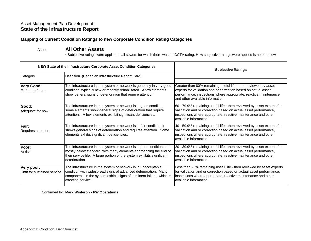### **Mapping of Current Condition Ratings to new Corporate Condition Rating Categories**

#### Asset:**All Other Assets**

\* Subjective ratings were applied to all sewers for which there was no CCTV rating. How subjective ratings were applied is noted below

|                                                | NEW State of the Infrastructure Corporate Asset Condition Categories                                                                                                                                                                 | <b>Subjective Ratings</b>                                                                                                                                                                                                                |
|------------------------------------------------|--------------------------------------------------------------------------------------------------------------------------------------------------------------------------------------------------------------------------------------|------------------------------------------------------------------------------------------------------------------------------------------------------------------------------------------------------------------------------------------|
| Category                                       | Definition (Canadian Infrastructure Report Card)                                                                                                                                                                                     |                                                                                                                                                                                                                                          |
| <b>Very Good:</b><br><b>Fit for the future</b> | The infrastructure in the system or network is generally in very good<br>condition, typically new or recently rehabilitated. A few elements<br>show general signs of deterioration that require attention.                           | Greater than 80% remaining useful life - then reviewed by asset<br>experts for validation and or correction based on actual asset<br>performance, inspections where appropriate, reactive maintenance<br>and other available information |
| Good:<br>Adequate for now                      | The infrastructure in the system or network is in good condition;<br>some elements show general signs of deterioration that require<br>attention. A few elements exhibit significant deficiencies.                                   | 60 - 79.9% remaining useful life - then reviewed by asset experts for<br>validation and or correction based on actual asset performance,<br>inspections where appropriate, reactive maintenance and other<br>available information       |
| Fair:<br>Requires attention                    | The infrastructure in the system or network is in fair condition; it<br>shows general signs of deterioration and requires attention. Some<br>elements exhibit significant deficiencies.                                              | 40 - 59.9% remaining useful life - then reviewed by asset experts for<br>validation and or correction based on actual asset performance,<br>inspections where appropriate, reactive maintenance and other<br>available information       |
| Poor:<br>At risk                               | The infrastructure in the system or network is in poor condition and<br>mostly below standard, with many elements approaching the end of<br>their service life. A large portion of the system exhibits significant<br>deterioration. | 20 - 39.9% remaining useful life - then reviewed by asset experts for<br>validation and or correction based on actual asset performance,<br>inspections where appropriate, reactive maintenance and other<br>available information       |
| Very poor:<br>Unfit for sustained service      | The infrastructure in the system or network is in unacceptable<br>condition with widespread signs of advanced deterioration. Many<br>components in the system exhibit signs of imminent failure, which is<br>affecting service.      | Less than 20% remaining useful life - then reviewed by asset experts<br>for validation and or correction based on actual asset performance,<br>inspections where appropriate, reactive maintenance and other<br>available information    |

Confirmed by: **Mark Winteron - PW Operations**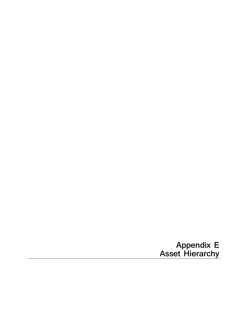**Appendix E Asset Hierarchy**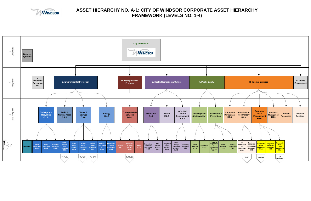<span id="page-30-2"></span><span id="page-30-1"></span>

<span id="page-30-0"></span>

# **ASSET HIERARCHY NO. A-1: CITY OF WINDSOR CORPORATE ASSET HIERARCHY FRAMEWORK (LEVELS NO. 1-4)**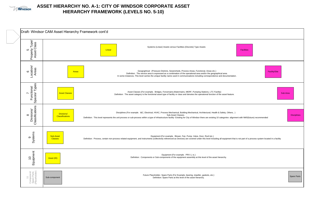

# **ASSET HIERARCHY NO. A-1: CITY OF WINDSOR CORPORATE ASSET HIERARCHY FRAMEWORK (LEVELS NO. 5-10)**

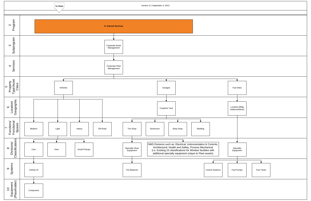<span id="page-32-0"></span>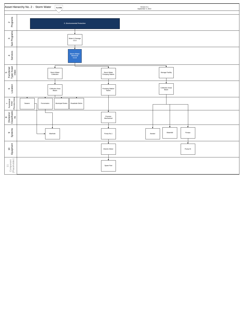<span id="page-33-0"></span>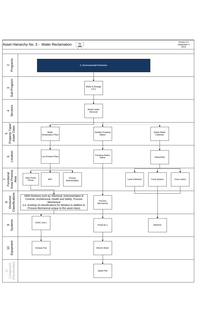<span id="page-34-0"></span>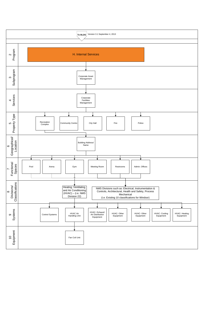<span id="page-35-0"></span>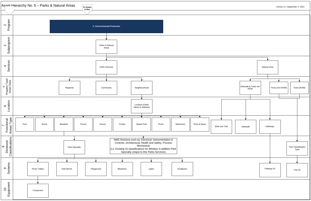<span id="page-36-0"></span>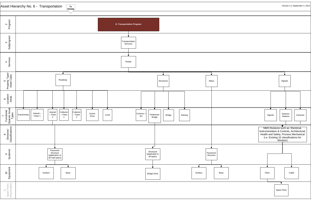<span id="page-37-0"></span>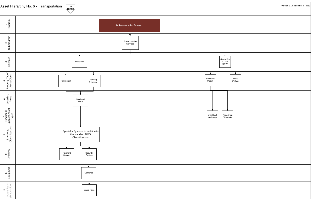

|                                            | Version 3.1 September 4, 2013 |
|--------------------------------------------|-------------------------------|
|                                            |                               |
|                                            |                               |
|                                            |                               |
|                                            |                               |
|                                            |                               |
| s                                          |                               |
| $\overline{\textbf{t}}$<br>Trails<br>(ROW) |                               |
|                                            |                               |
| trian<br>alks                              |                               |
|                                            |                               |
|                                            |                               |
|                                            |                               |
|                                            |                               |
|                                            |                               |